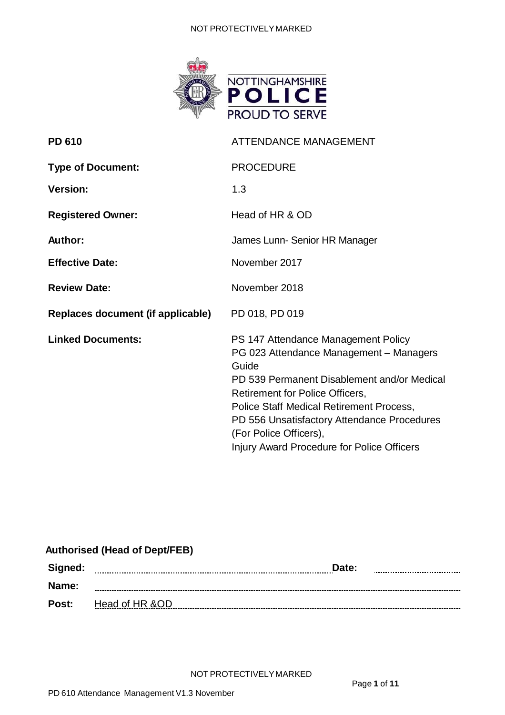#### NOT PROTECTIVELYMARKED



| <b>PD 610</b>                     | <b>ATTENDANCE MANAGEMENT</b>                                                                                                                                                                                                                                                                                                                 |
|-----------------------------------|----------------------------------------------------------------------------------------------------------------------------------------------------------------------------------------------------------------------------------------------------------------------------------------------------------------------------------------------|
| <b>Type of Document:</b>          | <b>PROCEDURE</b>                                                                                                                                                                                                                                                                                                                             |
| <b>Version:</b>                   | 1.3                                                                                                                                                                                                                                                                                                                                          |
| <b>Registered Owner:</b>          | Head of HR & OD                                                                                                                                                                                                                                                                                                                              |
| <b>Author:</b>                    | James Lunn- Senior HR Manager                                                                                                                                                                                                                                                                                                                |
| <b>Effective Date:</b>            | November 2017                                                                                                                                                                                                                                                                                                                                |
| <b>Review Date:</b>               | November 2018                                                                                                                                                                                                                                                                                                                                |
| Replaces document (if applicable) | PD 018, PD 019                                                                                                                                                                                                                                                                                                                               |
| <b>Linked Documents:</b>          | PS 147 Attendance Management Policy<br>PG 023 Attendance Management - Managers<br>Guide<br>PD 539 Permanent Disablement and/or Medical<br>Retirement for Police Officers,<br>Police Staff Medical Retirement Process,<br>PD 556 Unsatisfactory Attendance Procedures<br>(For Police Officers),<br>Injury Award Procedure for Police Officers |

# **Authorised (Head of Dept/FEB)**

| Signed: | Date:<br>      |
|---------|----------------|
| Name:   |                |
| Post:   | Head of HR &OD |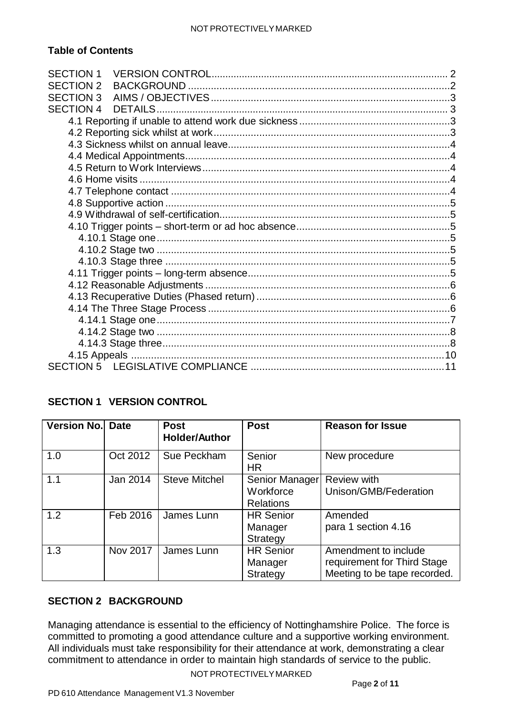## **Table of Contents**

| <b>SECTION 1</b> |  |
|------------------|--|
| <b>SECTION 2</b> |  |
| <b>SECTION 3</b> |  |
| <b>SECTION 4</b> |  |
|                  |  |
|                  |  |
|                  |  |
|                  |  |
|                  |  |
|                  |  |
|                  |  |
|                  |  |
|                  |  |
|                  |  |
|                  |  |
|                  |  |
|                  |  |
|                  |  |
|                  |  |
|                  |  |
|                  |  |
|                  |  |
|                  |  |
|                  |  |
|                  |  |
|                  |  |

# <span id="page-1-0"></span>**SECTION 1 VERSION CONTROL**

| Version No. Date |          | <b>Post</b><br><b>Holder/Author</b> | <b>Post</b>                                     | <b>Reason for Issue</b>                                                             |
|------------------|----------|-------------------------------------|-------------------------------------------------|-------------------------------------------------------------------------------------|
| 1.0              | Oct 2012 | Sue Peckham                         | Senior<br><b>HR</b>                             | New procedure                                                                       |
| 1.1              | Jan 2014 | <b>Steve Mitchel</b>                | Senior Manager<br>Workforce<br><b>Relations</b> | <b>Review with</b><br>Unison/GMB/Federation                                         |
| 1.2              | Feb 2016 | James Lunn                          | <b>HR Senior</b><br>Manager<br>Strategy         | Amended<br>para 1 section 4.16                                                      |
| 1.3              | Nov 2017 | James Lunn                          | <b>HR Senior</b><br>Manager<br><b>Strategy</b>  | Amendment to include<br>requirement for Third Stage<br>Meeting to be tape recorded. |

# <span id="page-1-1"></span>**SECTION 2 BACKGROUND**

Managing attendance is essential to the efficiency of Nottinghamshire Police. The force is committed to promoting a good attendance culture and a supportive working environment. All individuals must take responsibility for their attendance at work, demonstrating a clear commitment to attendance in order to maintain high standards of service to the public.

NOT PROTECTIVELYMARKED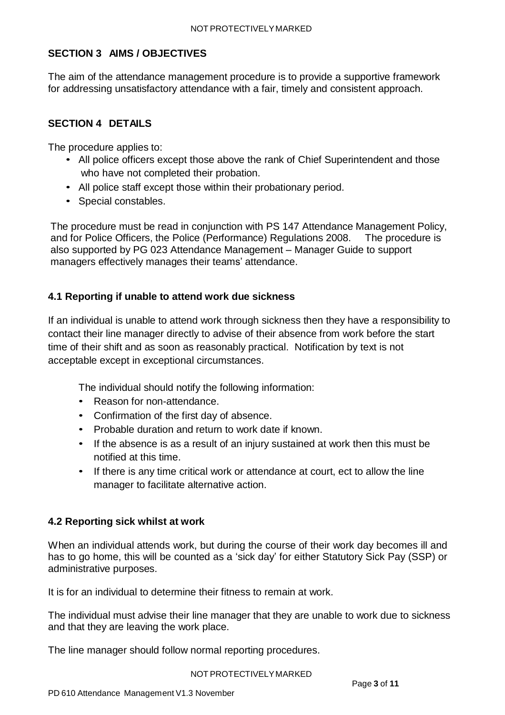# <span id="page-2-0"></span>**SECTION 3 AIMS / OBJECTIVES**

The aim of the attendance management procedure is to provide a supportive framework for addressing unsatisfactory attendance with a fair, timely and consistent approach.

# <span id="page-2-1"></span>**SECTION 4 DETAILS**

The procedure applies to:

- All police officers except those above the rank of Chief Superintendent and those who have not completed their probation.
- All police staff except those within their probationary period.
- Special constables.

The procedure must be read in conjunction with PS 147 Attendance Management Policy, and for Police Officers, the Police (Performance) Regulations 2008. The procedure is also supported by PG 023 Attendance Management – Manager Guide to support managers effectively manages their teams' attendance.

# <span id="page-2-2"></span>**4.1 Reporting if unable to attend work due sickness**

If an individual is unable to attend work through sickness then they have a responsibility to contact their line manager directly to advise of their absence from work before the start time of their shift and as soon as reasonably practical. Notification by text is not acceptable except in exceptional circumstances.

The individual should notify the following information:

- Reason for non-attendance.
- Confirmation of the first day of absence.
- Probable duration and return to work date if known.
- If the absence is as a result of an injury sustained at work then this must be notified at this time.
- If there is any time critical work or attendance at court, ect to allow the line manager to facilitate alternative action.

# <span id="page-2-3"></span>**4.2 Reporting sick whilst at work**

When an individual attends work, but during the course of their work day becomes ill and has to go home, this will be counted as a 'sick day' for either Statutory Sick Pay (SSP) or administrative purposes.

It is for an individual to determine their fitness to remain at work.

The individual must advise their line manager that they are unable to work due to sickness and that they are leaving the work place.

The line manager should follow normal reporting procedures.

#### NOT PROTECTIVELYMARKED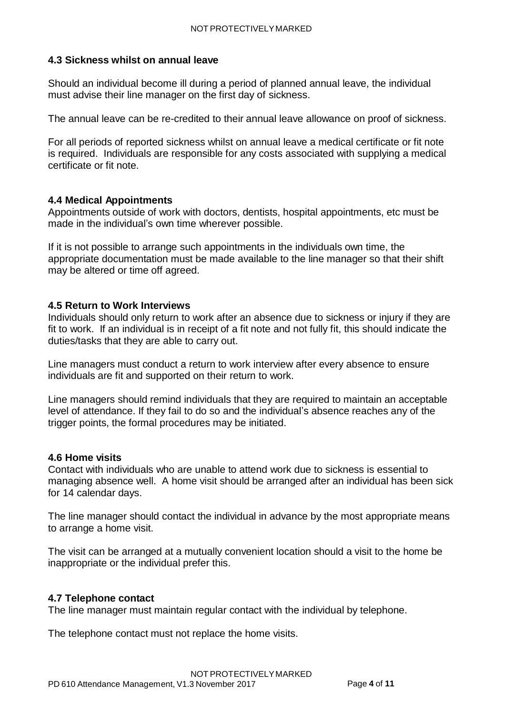### <span id="page-3-0"></span>**4.3 Sickness whilst on annual leave**

Should an individual become ill during a period of planned annual leave, the individual must advise their line manager on the first day of sickness.

The annual leave can be re-credited to their annual leave allowance on proof of sickness.

For all periods of reported sickness whilst on annual leave a medical certificate or fit note is required. Individuals are responsible for any costs associated with supplying a medical certificate or fit note.

### <span id="page-3-1"></span>**4.4 Medical Appointments**

Appointments outside of work with doctors, dentists, hospital appointments, etc must be made in the individual's own time wherever possible.

If it is not possible to arrange such appointments in the individuals own time, the appropriate documentation must be made available to the line manager so that their shift may be altered or time off agreed.

#### <span id="page-3-2"></span>**4.5 Return to Work Interviews**

Individuals should only return to work after an absence due to sickness or injury if they are fit to work. If an individual is in receipt of a fit note and not fully fit, this should indicate the duties/tasks that they are able to carry out.

Line managers must conduct a return to work interview after every absence to ensure individuals are fit and supported on their return to work.

Line managers should remind individuals that they are required to maintain an acceptable level of attendance. If they fail to do so and the individual's absence reaches any of the trigger points, the formal procedures may be initiated.

#### <span id="page-3-3"></span>**4.6 Home visits**

Contact with individuals who are unable to attend work due to sickness is essential to managing absence well. A home visit should be arranged after an individual has been sick for 14 calendar days.

The line manager should contact the individual in advance by the most appropriate means to arrange a home visit.

The visit can be arranged at a mutually convenient location should a visit to the home be inappropriate or the individual prefer this.

### <span id="page-3-4"></span>**4.7 Telephone contact**

The line manager must maintain regular contact with the individual by telephone.

The telephone contact must not replace the home visits.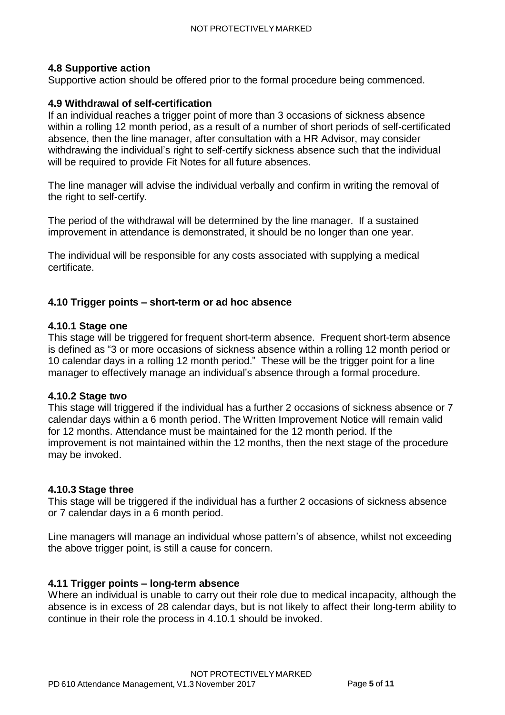### <span id="page-4-0"></span>**4.8 Supportive action**

Supportive action should be offered prior to the formal procedure being commenced.

### <span id="page-4-1"></span>**4.9 Withdrawal of self-certification**

If an individual reaches a trigger point of more than 3 occasions of sickness absence within a rolling 12 month period, as a result of a number of short periods of self-certificated absence, then the line manager, after consultation with a HR Advisor, may consider withdrawing the individual's right to self-certify sickness absence such that the individual will be required to provide Fit Notes for all future absences.

The line manager will advise the individual verbally and confirm in writing the removal of the right to self-certify.

The period of the withdrawal will be determined by the line manager. If a sustained improvement in attendance is demonstrated, it should be no longer than one year.

The individual will be responsible for any costs associated with supplying a medical certificate.

### <span id="page-4-2"></span>**4.10 Trigger points – short-term or ad hoc absence**

#### <span id="page-4-3"></span>**4.10.1 Stage one**

This stage will be triggered for frequent short-term absence. Frequent short-term absence is defined as "3 or more occasions of sickness absence within a rolling 12 month period or 10 calendar days in a rolling 12 month period." These will be the trigger point for a line manager to effectively manage an individual's absence through a formal procedure.

#### <span id="page-4-4"></span>**4.10.2 Stage two**

This stage will triggered if the individual has a further 2 occasions of sickness absence or 7 calendar days within a 6 month period. The Written Improvement Notice will remain valid for 12 months. Attendance must be maintained for the 12 month period. If the improvement is not maintained within the 12 months, then the next stage of the procedure may be invoked.

#### <span id="page-4-5"></span>**4.10.3 Stage three**

This stage will be triggered if the individual has a further 2 occasions of sickness absence or 7 calendar days in a 6 month period.

Line managers will manage an individual whose pattern's of absence, whilst not exceeding the above trigger point, is still a cause for concern.

### <span id="page-4-6"></span>**4.11 Trigger points – long-term absence**

Where an individual is unable to carry out their role due to medical incapacity, although the absence is in excess of 28 calendar days, but is not likely to affect their long-term ability to continue in their role the process in 4.10.1 should be invoked.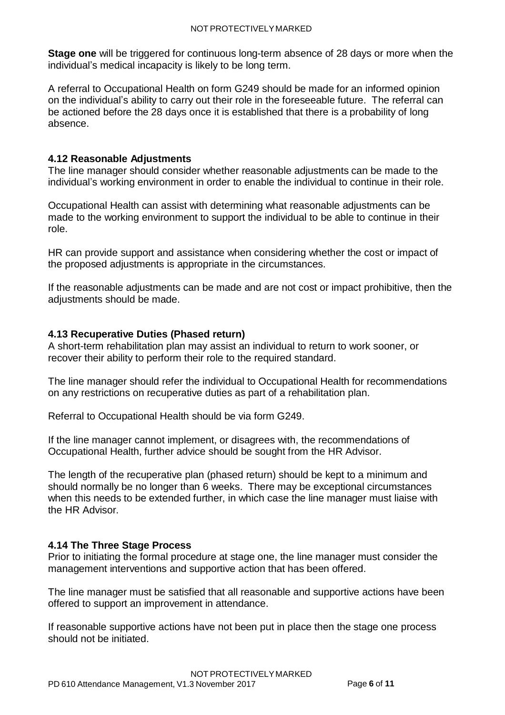**Stage one** will be triggered for continuous long-term absence of 28 days or more when the individual's medical incapacity is likely to be long term.

A referral to Occupational Health on form G249 should be made for an informed opinion on the individual's ability to carry out their role in the foreseeable future. The referral can be actioned before the 28 days once it is established that there is a probability of long absence.

### <span id="page-5-0"></span>**4.12 Reasonable Adjustments**

The line manager should consider whether reasonable adjustments can be made to the individual's working environment in order to enable the individual to continue in their role.

Occupational Health can assist with determining what reasonable adjustments can be made to the working environment to support the individual to be able to continue in their role.

HR can provide support and assistance when considering whether the cost or impact of the proposed adjustments is appropriate in the circumstances.

If the reasonable adjustments can be made and are not cost or impact prohibitive, then the adjustments should be made.

## <span id="page-5-1"></span>**4.13 Recuperative Duties (Phased return)**

A short-term rehabilitation plan may assist an individual to return to work sooner, or recover their ability to perform their role to the required standard.

The line manager should refer the individual to Occupational Health for recommendations on any restrictions on recuperative duties as part of a rehabilitation plan.

Referral to Occupational Health should be via form G249.

If the line manager cannot implement, or disagrees with, the recommendations of Occupational Health, further advice should be sought from the HR Advisor.

The length of the recuperative plan (phased return) should be kept to a minimum and should normally be no longer than 6 weeks. There may be exceptional circumstances when this needs to be extended further, in which case the line manager must liaise with the HR Advisor.

### <span id="page-5-2"></span>**4.14 The Three Stage Process**

Prior to initiating the formal procedure at stage one, the line manager must consider the management interventions and supportive action that has been offered.

The line manager must be satisfied that all reasonable and supportive actions have been offered to support an improvement in attendance.

If reasonable supportive actions have not been put in place then the stage one process should not be initiated.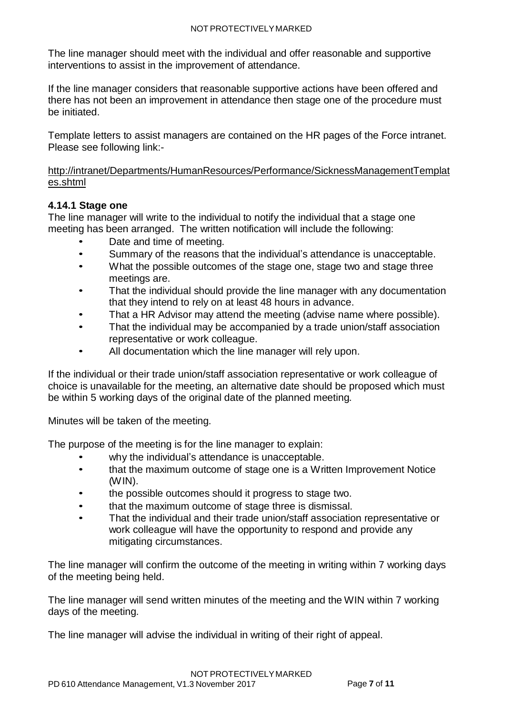The line manager should meet with the individual and offer reasonable and supportive interventions to assist in the improvement of attendance.

If the line manager considers that reasonable supportive actions have been offered and there has not been an improvement in attendance then stage one of the procedure must be initiated.

Template letters to assist managers are contained on the HR pages of the Force intranet. Please see following link:-

[http://intranet/Departments/HumanResources/Performance/SicknessManagementTemplat](http://intranet/Departments/HumanResources/Performance/SicknessManagementTemplates.shtml) [es.shtml](http://intranet/Departments/HumanResources/Performance/SicknessManagementTemplates.shtml)

# <span id="page-6-0"></span>**4.14.1 Stage one**

The line manager will write to the individual to notify the individual that a stage one meeting has been arranged. The written notification will include the following:

- Date and time of meeting.
- Summary of the reasons that the individual's attendance is unacceptable.
- What the possible outcomes of the stage one, stage two and stage three meetings are.
- That the individual should provide the line manager with any documentation that they intend to rely on at least 48 hours in advance.
- That a HR Advisor may attend the meeting (advise name where possible).
- That the individual may be accompanied by a trade union/staff association representative or work colleague.
- All documentation which the line manager will rely upon.

If the individual or their trade union/staff association representative or work colleague of choice is unavailable for the meeting, an alternative date should be proposed which must be within 5 working days of the original date of the planned meeting.

Minutes will be taken of the meeting.

The purpose of the meeting is for the line manager to explain:

- why the individual's attendance is unacceptable.
- that the maximum outcome of stage one is a Written Improvement Notice (WIN).
- the possible outcomes should it progress to stage two.
- that the maximum outcome of stage three is dismissal.
- That the individual and their trade union/staff association representative or work colleague will have the opportunity to respond and provide any mitigating circumstances.

The line manager will confirm the outcome of the meeting in writing within 7 working days of the meeting being held.

The line manager will send written minutes of the meeting and the WIN within 7 working days of the meeting.

The line manager will advise the individual in writing of their right of appeal.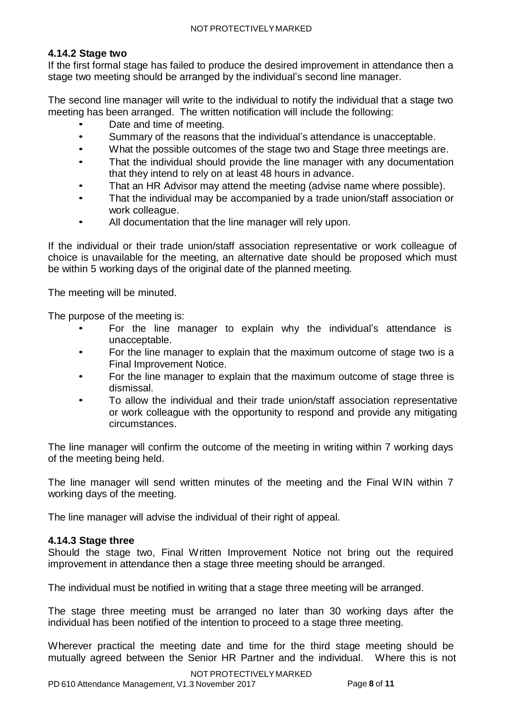## <span id="page-7-0"></span>**4.14.2 Stage two**

If the first formal stage has failed to produce the desired improvement in attendance then a stage two meeting should be arranged by the individual's second line manager.

The second line manager will write to the individual to notify the individual that a stage two meeting has been arranged. The written notification will include the following:

- Date and time of meeting.
- Summary of the reasons that the individual's attendance is unacceptable.
- What the possible outcomes of the stage two and Stage three meetings are.
- That the individual should provide the line manager with any documentation that they intend to rely on at least 48 hours in advance.
- That an HR Advisor may attend the meeting (advise name where possible).
- That the individual may be accompanied by a trade union/staff association or work colleague.
- All documentation that the line manager will rely upon.

If the individual or their trade union/staff association representative or work colleague of choice is unavailable for the meeting, an alternative date should be proposed which must be within 5 working days of the original date of the planned meeting.

The meeting will be minuted.

The purpose of the meeting is:

- For the line manager to explain why the individual's attendance is unacceptable.
- For the line manager to explain that the maximum outcome of stage two is a Final Improvement Notice.
- For the line manager to explain that the maximum outcome of stage three is dismissal.
- To allow the individual and their trade union/staff association representative or work colleague with the opportunity to respond and provide any mitigating circumstances.

The line manager will confirm the outcome of the meeting in writing within 7 working days of the meeting being held.

The line manager will send written minutes of the meeting and the Final WIN within 7 working days of the meeting.

The line manager will advise the individual of their right of appeal.

# <span id="page-7-1"></span>**4.14.3 Stage three**

Should the stage two, Final Written Improvement Notice not bring out the required improvement in attendance then a stage three meeting should be arranged.

The individual must be notified in writing that a stage three meeting will be arranged.

The stage three meeting must be arranged no later than 30 working days after the individual has been notified of the intention to proceed to a stage three meeting.

Wherever practical the meeting date and time for the third stage meeting should be mutually agreed between the Senior HR Partner and the individual. Where this is not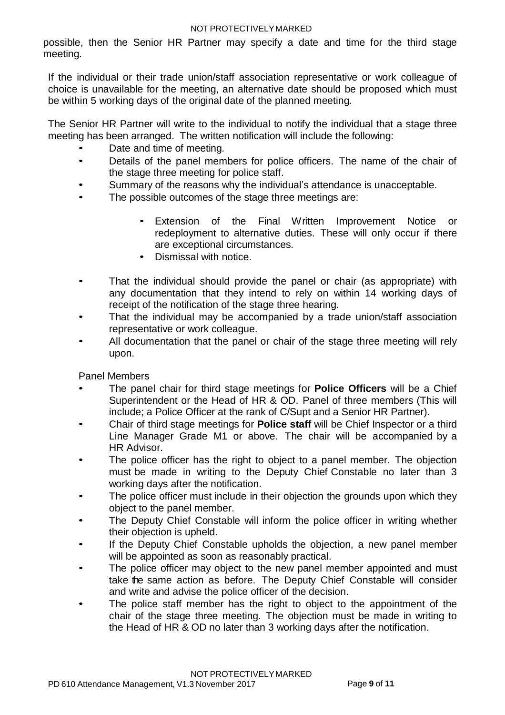#### NOT PROTECTIVELYMARKED

possible, then the Senior HR Partner may specify a date and time for the third stage meeting.

If the individual or their trade union/staff association representative or work colleague of choice is unavailable for the meeting, an alternative date should be proposed which must be within 5 working days of the original date of the planned meeting.

The Senior HR Partner will write to the individual to notify the individual that a stage three meeting has been arranged. The written notification will include the following:

- Date and time of meeting.
- Details of the panel members for police officers. The name of the chair of the stage three meeting for police staff.
- Summary of the reasons why the individual's attendance is unacceptable.
- The possible outcomes of the stage three meetings are:
	- Extension of the Final Written Improvement Notice or redeployment to alternative duties. These will only occur if there are exceptional circumstances.
	- Dismissal with notice.
- That the individual should provide the panel or chair (as appropriate) with any documentation that they intend to rely on within 14 working days of receipt of the notification of the stage three hearing.
- That the individual may be accompanied by a trade union/staff association representative or work colleague.
- All documentation that the panel or chair of the stage three meeting will rely upon.

Panel Members

- The panel chair for third stage meetings for **Police Officers** will be a Chief Superintendent or the Head of HR & OD. Panel of three members (This will include; a Police Officer at the rank of C/Supt and a Senior HR Partner).
- Chair of third stage meetings for **Police staff** will be Chief Inspector or a third Line Manager Grade M1 or above. The chair will be accompanied by a HR Advisor.
- The police officer has the right to object to a panel member. The objection must be made in writing to the Deputy Chief Constable no later than 3 working days after the notification.
- The police officer must include in their objection the grounds upon which they object to the panel member.
- The Deputy Chief Constable will inform the police officer in writing whether their objection is upheld.
- If the Deputy Chief Constable upholds the objection, a new panel member will be appointed as soon as reasonably practical.
- The police officer may object to the new panel member appointed and must take the same action as before. The Deputy Chief Constable will consider and write and advise the police officer of the decision.
- The police staff member has the right to object to the appointment of the chair of the stage three meeting. The objection must be made in writing to the Head of HR & OD no later than 3 working days after the notification.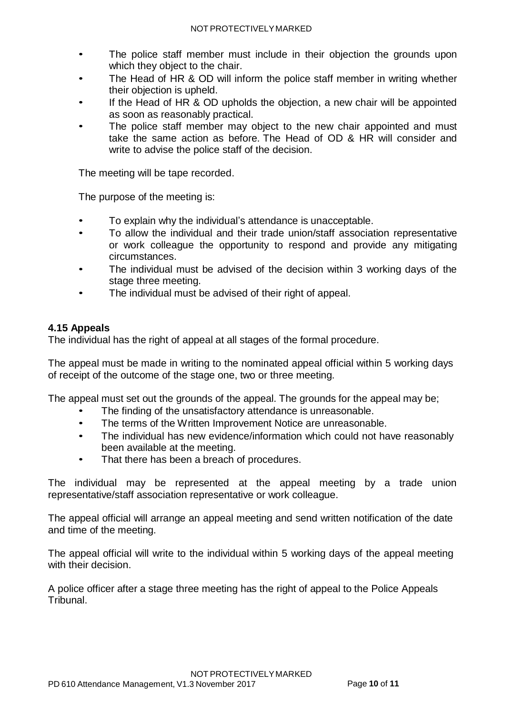- The police staff member must include in their objection the grounds upon which they object to the chair.
- The Head of HR & OD will inform the police staff member in writing whether their objection is upheld.
- If the Head of HR & OD upholds the objection, a new chair will be appointed as soon as reasonably practical.
- The police staff member may object to the new chair appointed and must take the same action as before. The Head of OD & HR will consider and write to advise the police staff of the decision.

The meeting will be tape recorded.

The purpose of the meeting is:

- To explain why the individual's attendance is unacceptable.
- To allow the individual and their trade union/staff association representative or work colleague the opportunity to respond and provide any mitigating circumstances.
- The individual must be advised of the decision within 3 working days of the stage three meeting.
- The individual must be advised of their right of appeal.

# <span id="page-9-0"></span>**4.15 Appeals**

The individual has the right of appeal at all stages of the formal procedure.

The appeal must be made in writing to the nominated appeal official within 5 working days of receipt of the outcome of the stage one, two or three meeting.

The appeal must set out the grounds of the appeal. The grounds for the appeal may be;

- The finding of the unsatisfactory attendance is unreasonable.
- The terms of the Written Improvement Notice are unreasonable.
- The individual has new evidence/information which could not have reasonably been available at the meeting.
- That there has been a breach of procedures.

The individual may be represented at the appeal meeting by a trade union representative/staff association representative or work colleague.

The appeal official will arrange an appeal meeting and send written notification of the date and time of the meeting.

The appeal official will write to the individual within 5 working days of the appeal meeting with their decision.

A police officer after a stage three meeting has the right of appeal to the Police Appeals Tribunal.